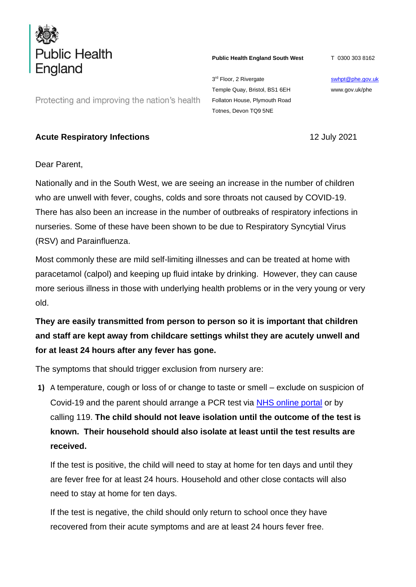

**Public Health England South West**

T 0300 303 8162

3<sup>rd</sup> Floor, 2 Rivergate Temple Quay, Bristol, BS1 6EH Follaton House, Plymouth Road Totnes, Devon TQ9 5NE

[swhpt@phe.gov.uk](mailto:swhpt@phe.gov.uk) www.gov.uk/phe

Protecting and improving the nation's health

## **Acute Respiratory Infections** 12 July 2021

Dear Parent,

Nationally and in the South West, we are seeing an increase in the number of children who are unwell with fever, coughs, colds and sore throats not caused by COVID-19. There has also been an increase in the number of outbreaks of respiratory infections in nurseries. Some of these have been shown to be due to Respiratory Syncytial Virus (RSV) and Parainfluenza.

Most commonly these are mild self-limiting illnesses and can be treated at home with paracetamol (calpol) and keeping up fluid intake by drinking. However, they can cause more serious illness in those with underlying health problems or in the very young or very old.

**They are easily transmitted from person to person so it is important that children and staff are kept away from childcare settings whilst they are acutely unwell and for at least 24 hours after any fever has gone.** 

The symptoms that should trigger exclusion from nursery are:

**1)** A temperature, cough or loss of or change to taste or smell – exclude on suspicion of Covid-19 and the parent should arrange a PCR test via [NHS online portal](https://www.nhs.uk/ask-for-a-coronavirus-test) or by calling 119. **The child should not leave isolation until the outcome of the test is known. Their household should also isolate at least until the test results are received.**

If the test is positive, the child will need to stay at home for ten days and until they are fever free for at least 24 hours. Household and other close contacts will also need to stay at home for ten days.

If the test is negative, the child should only return to school once they have recovered from their acute symptoms and are at least 24 hours fever free.